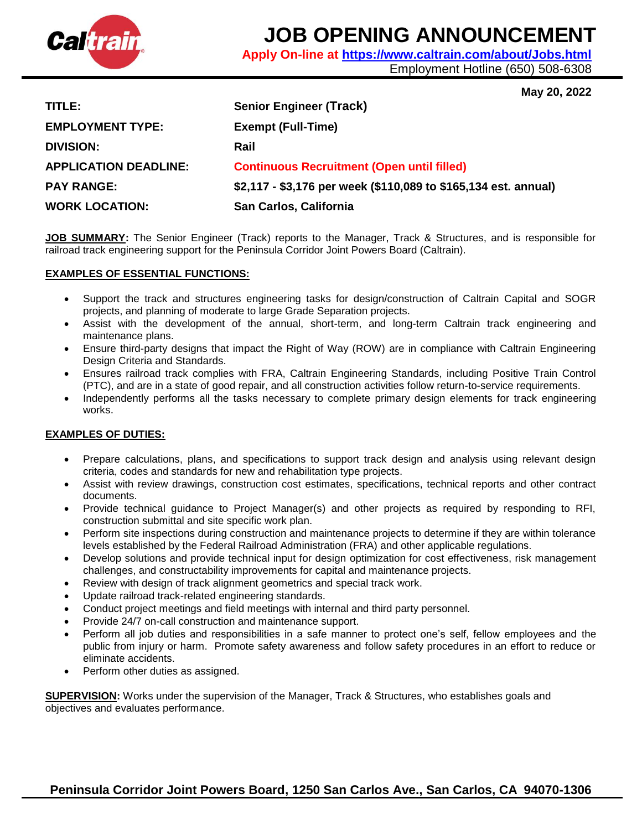

# **JOB OPENING ANNOUNCEMENT**

**Apply On-line at<https://www.caltrain.com/about/Jobs.html>**

Employment Hotline (650) 508-6308

|  |  | May 20, 2022 |
|--|--|--------------|
|--|--|--------------|

| TITLE:                       | <b>Senior Engineer (Track)</b>                                  |
|------------------------------|-----------------------------------------------------------------|
| <b>EMPLOYMENT TYPE:</b>      | <b>Exempt (Full-Time)</b>                                       |
| <b>DIVISION:</b>             | Rail                                                            |
| <b>APPLICATION DEADLINE:</b> | <b>Continuous Recruitment (Open until filled)</b>               |
| <b>PAY RANGE:</b>            | \$2,117 - \$3,176 per week (\$110,089 to \$165,134 est. annual) |
| <b>WORK LOCATION:</b>        | San Carlos, California                                          |

**JOB SUMMARY:** The Senior Engineer (Track) reports to the Manager, Track & Structures, and is responsible for railroad track engineering support for the Peninsula Corridor Joint Powers Board (Caltrain).

## **EXAMPLES OF ESSENTIAL FUNCTIONS:**

- Support the track and structures engineering tasks for design/construction of Caltrain Capital and SOGR projects, and planning of moderate to large Grade Separation projects.
- Assist with the development of the annual, short-term, and long-term Caltrain track engineering and maintenance plans.
- Ensure third-party designs that impact the Right of Way (ROW) are in compliance with Caltrain Engineering Design Criteria and Standards.
- Ensures railroad track complies with FRA, Caltrain Engineering Standards, including Positive Train Control (PTC), and are in a state of good repair, and all construction activities follow return-to-service requirements.
- Independently performs all the tasks necessary to complete primary design elements for track engineering works.

## **EXAMPLES OF DUTIES:**

- Prepare calculations, plans, and specifications to support track design and analysis using relevant design criteria, codes and standards for new and rehabilitation type projects.
- Assist with review drawings, construction cost estimates, specifications, technical reports and other contract documents.
- Provide technical guidance to Project Manager(s) and other projects as required by responding to RFI, construction submittal and site specific work plan.
- Perform site inspections during construction and maintenance projects to determine if they are within tolerance levels established by the Federal Railroad Administration (FRA) and other applicable regulations.
- Develop solutions and provide technical input for design optimization for cost effectiveness, risk management challenges, and constructability improvements for capital and maintenance projects.
- Review with design of track alignment geometrics and special track work.
- Update railroad track-related engineering standards.
- Conduct project meetings and field meetings with internal and third party personnel.
- Provide 24/7 on-call construction and maintenance support.
- Perform all job duties and responsibilities in a safe manner to protect one's self, fellow employees and the public from injury or harm. Promote safety awareness and follow safety procedures in an effort to reduce or eliminate accidents.
- Perform other duties as assigned.

**SUPERVISION:** Works under the supervision of the Manager, Track & Structures, who establishes goals and objectives and evaluates performance.